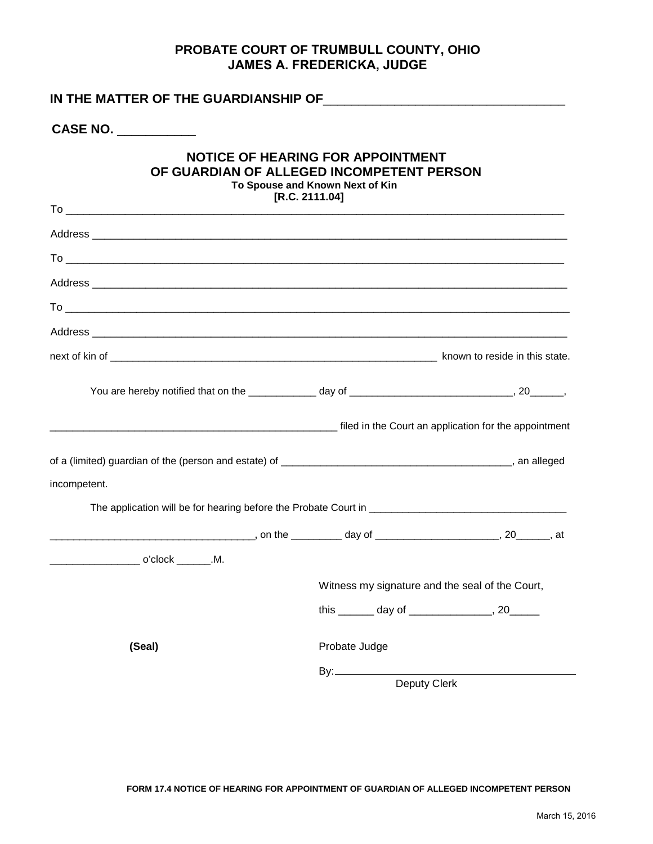## **PROBATE COURT OF TRUMBULL COUNTY, OHIO JAMES A. FREDERICKA, JUDGE**

| CASE NO.                                                                                                                                                                                                                      |                                                 |  |  |  |  |  |
|-------------------------------------------------------------------------------------------------------------------------------------------------------------------------------------------------------------------------------|-------------------------------------------------|--|--|--|--|--|
| <b>NOTICE OF HEARING FOR APPOINTMENT</b><br>OF GUARDIAN OF ALLEGED INCOMPETENT PERSON<br>To Spouse and Known Next of Kin<br>[R.C. 2111.04]                                                                                    |                                                 |  |  |  |  |  |
|                                                                                                                                                                                                                               |                                                 |  |  |  |  |  |
|                                                                                                                                                                                                                               |                                                 |  |  |  |  |  |
|                                                                                                                                                                                                                               |                                                 |  |  |  |  |  |
|                                                                                                                                                                                                                               |                                                 |  |  |  |  |  |
|                                                                                                                                                                                                                               |                                                 |  |  |  |  |  |
|                                                                                                                                                                                                                               |                                                 |  |  |  |  |  |
|                                                                                                                                                                                                                               |                                                 |  |  |  |  |  |
| Tiled in the Court an application for the appointment of the series of the series of the series of the series of the series of the series of the series of the series of the series of the series of the series of the series |                                                 |  |  |  |  |  |
|                                                                                                                                                                                                                               |                                                 |  |  |  |  |  |
| incompetent.                                                                                                                                                                                                                  |                                                 |  |  |  |  |  |
|                                                                                                                                                                                                                               |                                                 |  |  |  |  |  |
|                                                                                                                                                                                                                               |                                                 |  |  |  |  |  |
|                                                                                                                                                                                                                               |                                                 |  |  |  |  |  |
|                                                                                                                                                                                                                               | Witness my signature and the seal of the Court, |  |  |  |  |  |
|                                                                                                                                                                                                                               | this _______ day of ________________, 20______  |  |  |  |  |  |
| (Seal)                                                                                                                                                                                                                        | Probate Judge                                   |  |  |  |  |  |
|                                                                                                                                                                                                                               | By:___________                                  |  |  |  |  |  |
|                                                                                                                                                                                                                               | Deputy Clerk                                    |  |  |  |  |  |